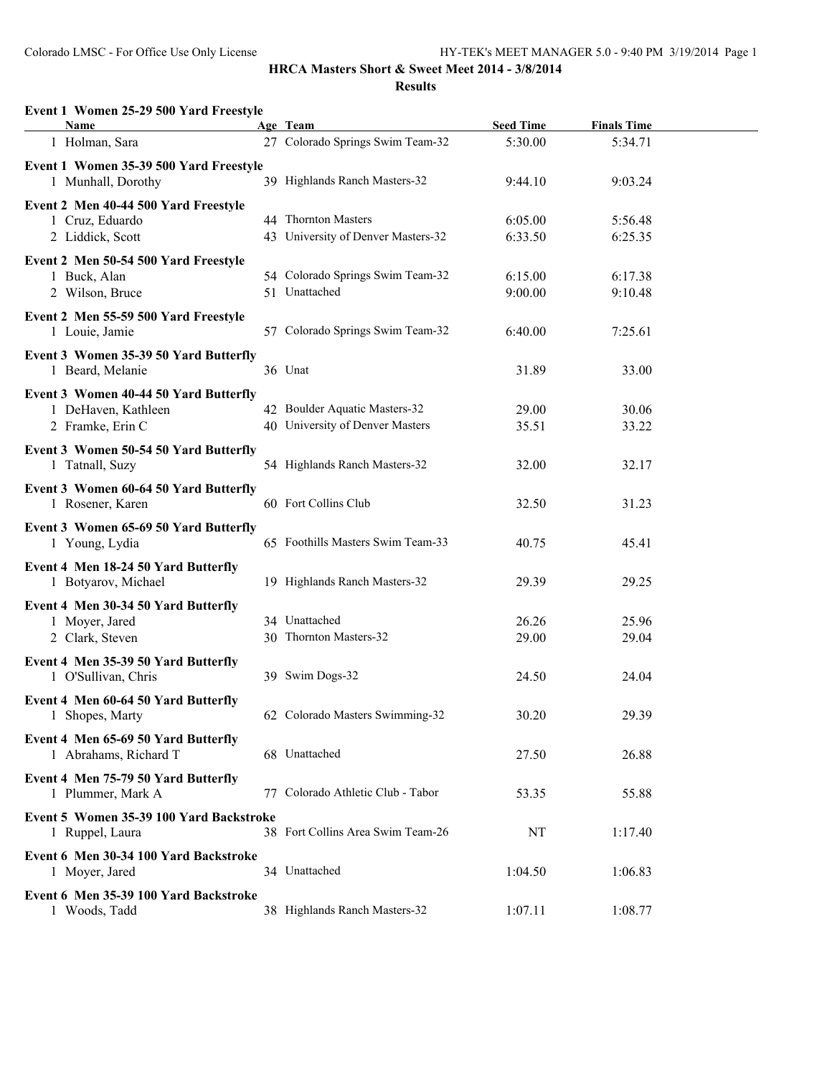## **HRCA Masters Short & Sweet Meet 2014 - 3/8/2014**

**Results**

| Event 1 Women 25-29 500 Yard Freestyle<br><b>Name</b>        | Age Team                                | <b>Seed Time</b> | <b>Finals Time</b> |  |
|--------------------------------------------------------------|-----------------------------------------|------------------|--------------------|--|
| 1 Holman, Sara                                               | 27 Colorado Springs Swim Team-32        | 5:30.00          | 5:34.71            |  |
|                                                              |                                         |                  |                    |  |
| Event 1 Women 35-39 500 Yard Freestyle<br>1 Munhall, Dorothy | 39 Highlands Ranch Masters-32           | 9:44.10          | 9:03.24            |  |
| Event 2 Men 40-44 500 Yard Freestyle                         |                                         |                  |                    |  |
| 1 Cruz, Eduardo                                              | 44 Thornton Masters                     | 6:05.00          | 5:56.48            |  |
| 2 Liddick, Scott                                             | 43 University of Denver Masters-32      | 6:33.50          | 6:25.35            |  |
| Event 2 Men 50-54 500 Yard Freestyle                         |                                         |                  |                    |  |
| 1 Buck, Alan                                                 | 54 Colorado Springs Swim Team-32        | 6:15.00          | 6:17.38            |  |
| 2 Wilson, Bruce                                              | 51 Unattached                           | 9:00.00          | 9:10.48            |  |
| Event 2 Men 55-59 500 Yard Freestyle                         |                                         |                  |                    |  |
| 1 Louie, Jamie                                               | 57 Colorado Springs Swim Team-32        | 6:40.00          | 7:25.61            |  |
| Event 3 Women 35-39 50 Yard Butterfly                        |                                         |                  |                    |  |
| 1 Beard, Melanie                                             | 36 Unat                                 | 31.89            | 33.00              |  |
|                                                              |                                         |                  |                    |  |
| Event 3 Women 40-44 50 Yard Butterfly                        |                                         |                  |                    |  |
| 1 DeHaven, Kathleen                                          | 42 Boulder Aquatic Masters-32           | 29.00            | 30.06              |  |
| 2 Framke, Erin C                                             | 40 University of Denver Masters         | 35.51            | 33.22              |  |
| Event 3 Women 50-54 50 Yard Butterfly                        |                                         |                  |                    |  |
| 1 Tatnall, Suzy                                              | 54 Highlands Ranch Masters-32           | 32.00            | 32.17              |  |
| Event 3 Women 60-64 50 Yard Butterfly                        |                                         |                  |                    |  |
| 1 Rosener, Karen                                             | 60 Fort Collins Club                    | 32.50            | 31.23              |  |
| Event 3 Women 65-69 50 Yard Butterfly                        |                                         |                  |                    |  |
| 1 Young, Lydia                                               | 65 Foothills Masters Swim Team-33       | 40.75            | 45.41              |  |
| Event 4 Men 18-24 50 Yard Butterfly                          |                                         |                  |                    |  |
| 1 Botyarov, Michael                                          | 19 Highlands Ranch Masters-32           | 29.39            | 29.25              |  |
|                                                              |                                         |                  |                    |  |
| Event 4 Men 30-34 50 Yard Butterfly                          |                                         |                  |                    |  |
| 1 Moyer, Jared                                               | 34 Unattached<br>30 Thornton Masters-32 | 26.26            | 25.96              |  |
| 2 Clark, Steven                                              |                                         | 29.00            | 29.04              |  |
| Event 4 Men 35-39 50 Yard Butterfly                          |                                         |                  |                    |  |
| 1 O'Sullivan, Chris                                          | 39 Swim Dogs-32                         | 24.50            | 24.04              |  |
| Event 4 Men 60-64 50 Yard Butterfly                          |                                         |                  |                    |  |
| 1 Shopes, Marty                                              | 62 Colorado Masters Swimming-32         | 30.20            | 29.39              |  |
| Event 4 Men 65-69 50 Yard Butterfly                          |                                         |                  |                    |  |
| 1 Abrahams, Richard T                                        | 68 Unattached                           | 27.50            | 26.88              |  |
|                                                              |                                         |                  |                    |  |
| Event 4 Men 75-79 50 Yard Butterfly<br>1 Plummer, Mark A     | 77 Colorado Athletic Club - Tabor       | 53.35            | 55.88              |  |
|                                                              |                                         |                  |                    |  |
| Event 5 Women 35-39 100 Yard Backstroke                      |                                         |                  |                    |  |
| 1 Ruppel, Laura                                              | 38 Fort Collins Area Swim Team-26       | NT               | 1:17.40            |  |
| Event 6 Men 30-34 100 Yard Backstroke                        |                                         |                  |                    |  |
| 1 Moyer, Jared                                               | 34 Unattached                           | 1:04.50          | 1:06.83            |  |
| Event 6 Men 35-39 100 Yard Backstroke                        |                                         |                  |                    |  |
| 1 Woods, Tadd                                                | 38 Highlands Ranch Masters-32           | 1:07.11          | 1:08.77            |  |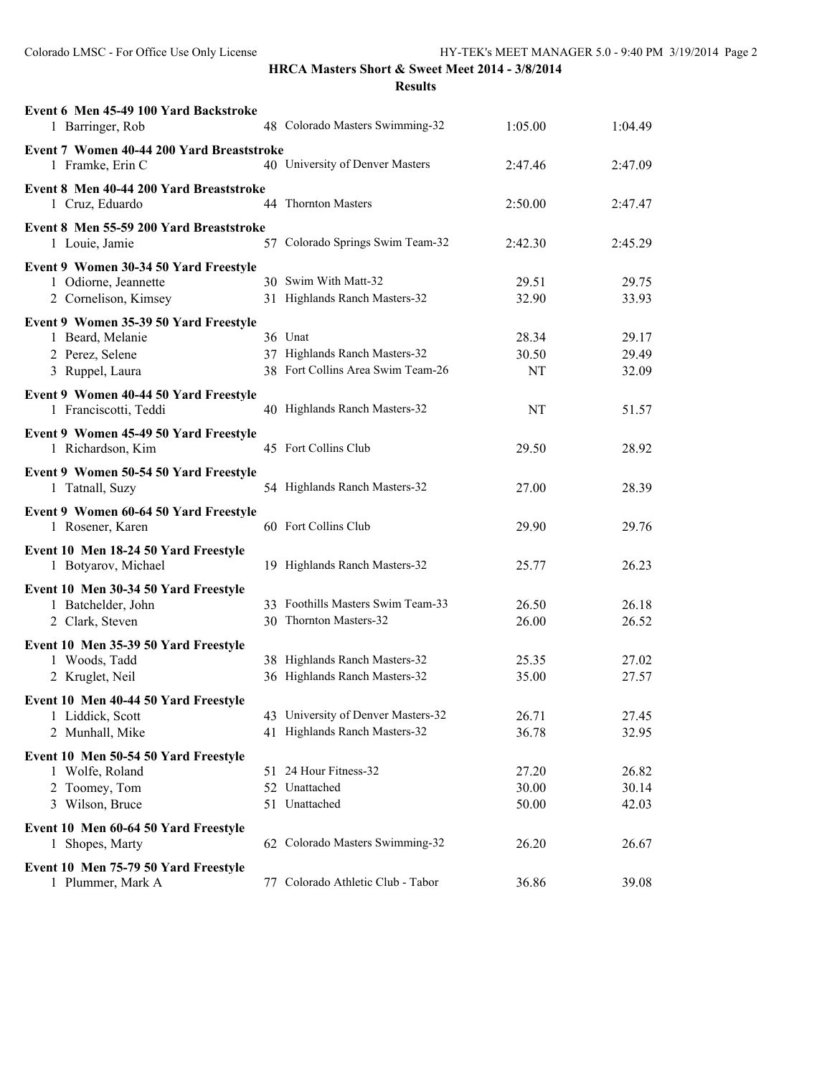| Event 6 Men 45-49 100 Yard Backstroke<br>1 Barringer, Rob                                       |    | 48 Colorado Masters Swimming-32                                               | 1:05.00                 | 1:04.49                 |
|-------------------------------------------------------------------------------------------------|----|-------------------------------------------------------------------------------|-------------------------|-------------------------|
| Event 7 Women 40-44 200 Yard Breaststroke<br>1 Framke, Erin C                                   |    | 40 University of Denver Masters                                               | 2:47.46                 | 2:47.09                 |
| Event 8 Men 40-44 200 Yard Breaststroke<br>1 Cruz, Eduardo                                      |    | 44 Thornton Masters                                                           | 2:50.00                 | 2:47.47                 |
| Event 8 Men 55-59 200 Yard Breaststroke<br>1 Louie, Jamie                                       |    | 57 Colorado Springs Swim Team-32                                              | 2:42.30                 | 2:45.29                 |
| Event 9 Women 30-34 50 Yard Freestyle<br>1 Odiorne, Jeannette<br>2 Cornelison, Kimsey           |    | 30 Swim With Matt-32<br>31 Highlands Ranch Masters-32                         | 29.51<br>32.90          | 29.75<br>33.93          |
| Event 9 Women 35-39 50 Yard Freestyle<br>1 Beard, Melanie<br>2 Perez, Selene<br>3 Ruppel, Laura |    | 36 Unat<br>37 Highlands Ranch Masters-32<br>38 Fort Collins Area Swim Team-26 | 28.34<br>30.50<br>NT    | 29.17<br>29.49<br>32.09 |
| Event 9 Women 40-44 50 Yard Freestyle<br>1 Franciscotti, Teddi                                  |    | 40 Highlands Ranch Masters-32                                                 | NT                      | 51.57                   |
| Event 9 Women 45-49 50 Yard Freestyle<br>1 Richardson, Kim                                      |    | 45 Fort Collins Club                                                          | 29.50                   | 28.92                   |
| Event 9 Women 50-54 50 Yard Freestyle<br>1 Tatnall, Suzy                                        |    | 54 Highlands Ranch Masters-32                                                 | 27.00                   | 28.39                   |
| Event 9 Women 60-64 50 Yard Freestyle<br>1 Rosener, Karen                                       |    | 60 Fort Collins Club                                                          | 29.90                   | 29.76                   |
| Event 10 Men 18-24 50 Yard Freestyle<br>1 Botyarov, Michael                                     |    | 19 Highlands Ranch Masters-32                                                 | 25.77                   | 26.23                   |
| Event 10 Men 30-34 50 Yard Freestyle<br>1 Batchelder, John<br>2 Clark, Steven                   |    | 33 Foothills Masters Swim Team-33<br>30 Thornton Masters-32                   | 26.50<br>26.00          | 26.18<br>26.52          |
| Event 10 Men 35-39 50 Yard Freestyle<br>1 Woods, Tadd<br>2 Kruglet, Neil                        |    | 38 Highlands Ranch Masters-32<br>36 Highlands Ranch Masters-32                | 25.35<br>35.00          | 27.02<br>27.57          |
| Event 10 Men 40-44 50 Yard Freestyle<br>1 Liddick, Scott<br>2 Munhall, Mike                     |    | 43 University of Denver Masters-32<br>41 Highlands Ranch Masters-32           | 26.71<br>36.78          | 27.45<br>32.95          |
| Event 10 Men 50-54 50 Yard Freestyle<br>1 Wolfe, Roland<br>2 Toomey, Tom<br>3 Wilson, Bruce     |    | 51 24 Hour Fitness-32<br>52 Unattached<br>51 Unattached                       | 27.20<br>30.00<br>50.00 | 26.82<br>30.14<br>42.03 |
| Event 10 Men 60-64 50 Yard Freestyle<br>1 Shopes, Marty                                         |    | 62 Colorado Masters Swimming-32                                               | 26.20                   | 26.67                   |
| Event 10 Men 75-79 50 Yard Freestyle<br>1 Plummer, Mark A                                       | 77 | Colorado Athletic Club - Tabor                                                | 36.86                   | 39.08                   |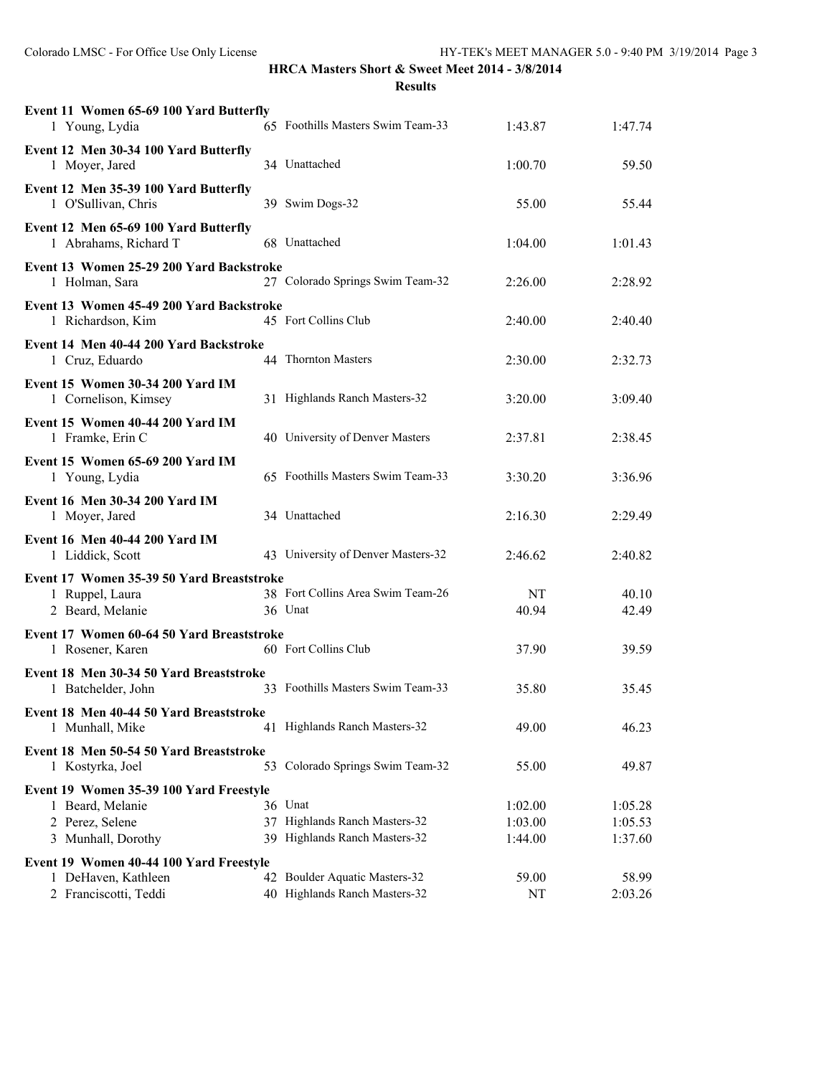| Event 11 Women 65-69 100 Yard Butterfly<br>1 Young, Lydia      | 65 Foothills Masters Swim Team-33  | 1:43.87 | 1:47.74 |
|----------------------------------------------------------------|------------------------------------|---------|---------|
| Event 12 Men 30-34 100 Yard Butterfly<br>1 Moyer, Jared        | 34 Unattached                      | 1:00.70 | 59.50   |
| Event 12 Men 35-39 100 Yard Butterfly<br>1 O'Sullivan, Chris   | 39 Swim Dogs-32                    | 55.00   | 55.44   |
| Event 12 Men 65-69 100 Yard Butterfly<br>1 Abrahams, Richard T | 68 Unattached                      | 1:04.00 | 1:01.43 |
| Event 13 Women 25-29 200 Yard Backstroke<br>1 Holman, Sara     | 27 Colorado Springs Swim Team-32   | 2:26.00 | 2:28.92 |
| Event 13 Women 45-49 200 Yard Backstroke<br>1 Richardson, Kim  | 45 Fort Collins Club               | 2:40.00 | 2:40.40 |
| Event 14 Men 40-44 200 Yard Backstroke<br>1 Cruz, Eduardo      | 44 Thornton Masters                | 2:30.00 | 2:32.73 |
| Event 15 Women 30-34 200 Yard IM<br>1 Cornelison, Kimsey       | 31 Highlands Ranch Masters-32      | 3:20.00 | 3:09.40 |
| Event 15 Women 40-44 200 Yard IM<br>1 Framke, Erin C           | 40 University of Denver Masters    | 2:37.81 | 2:38.45 |
| Event 15 Women 65-69 200 Yard IM<br>1 Young, Lydia             | 65 Foothills Masters Swim Team-33  | 3:30.20 | 3:36.96 |
| Event 16 Men 30-34 200 Yard IM<br>1 Moyer, Jared               | 34 Unattached                      | 2:16.30 | 2:29.49 |
| Event 16 Men 40-44 200 Yard IM<br>1 Liddick, Scott             | 43 University of Denver Masters-32 | 2:46.62 | 2:40.82 |
| Event 17 Women 35-39 50 Yard Breaststroke                      |                                    |         |         |
| 1 Ruppel, Laura                                                | 38 Fort Collins Area Swim Team-26  | NT      | 40.10   |
| 2 Beard, Melanie                                               | 36 Unat                            | 40.94   | 42.49   |
| Event 17 Women 60-64 50 Yard Breaststroke                      |                                    |         |         |
| 1 Rosener, Karen                                               | 60 Fort Collins Club               | 37.90   | 39.59   |
| Event 18 Men 30-34 50 Yard Breaststroke                        |                                    |         |         |
| 1 Batchelder, John                                             | 33 Foothills Masters Swim Team-33  | 35.80   | 35.45   |
| Event 18 Men 40-44 50 Yard Breaststroke                        |                                    |         |         |
| 1 Munhall, Mike                                                | 41 Highlands Ranch Masters-32      | 49.00   | 46.23   |
| Event 18 Men 50-54 50 Yard Breaststroke                        |                                    |         |         |
| 1 Kostyrka, Joel                                               | 53 Colorado Springs Swim Team-32   | 55.00   | 49.87   |
| Event 19 Women 35-39 100 Yard Freestyle                        |                                    |         |         |
| 1 Beard, Melanie                                               | 36 Unat                            | 1:02.00 | 1:05.28 |
| 2 Perez, Selene                                                | 37 Highlands Ranch Masters-32      | 1:03.00 | 1:05.53 |
| 3 Munhall, Dorothy                                             | 39 Highlands Ranch Masters-32      | 1:44.00 | 1:37.60 |
| Event 19 Women 40-44 100 Yard Freestyle                        |                                    |         |         |
| 1 DeHaven, Kathleen                                            | 42 Boulder Aquatic Masters-32      | 59.00   | 58.99   |
| 2 Franciscotti, Teddi                                          | 40 Highlands Ranch Masters-32      | NT      | 2:03.26 |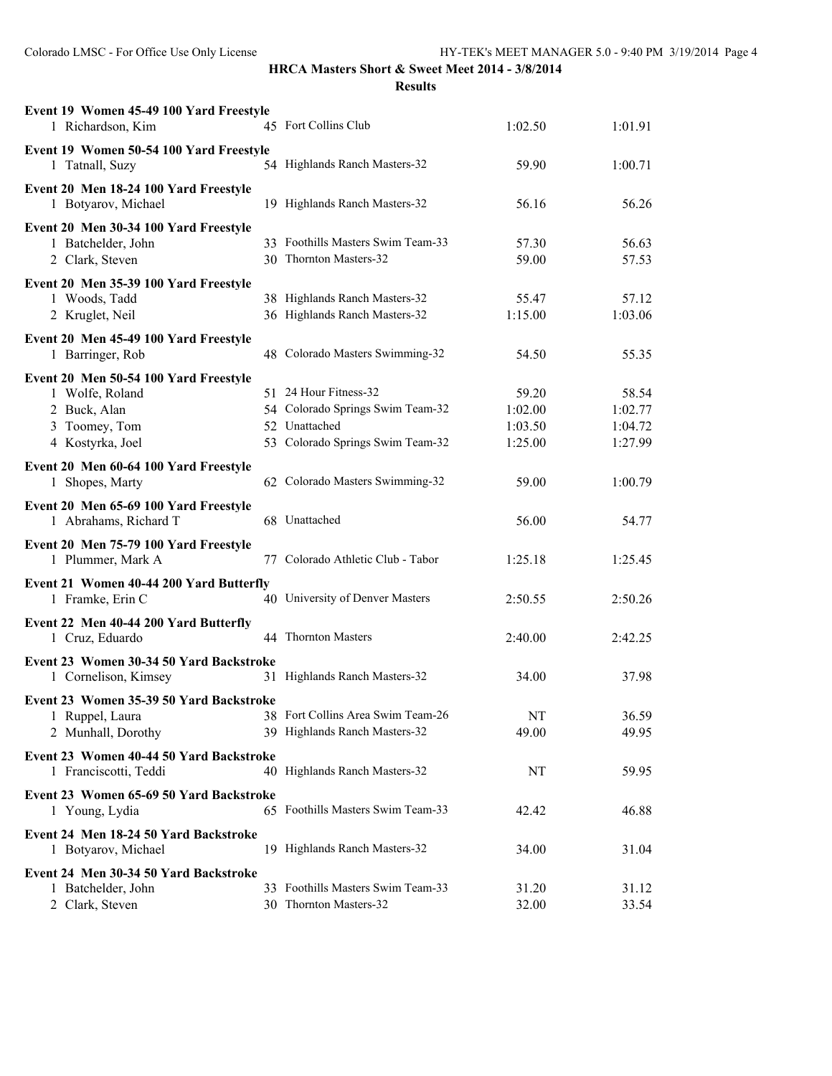| Event 19 Women 45-49 100 Yard Freestyle<br>1 Richardson, Kim   | 45 Fort Collins Club              | 1:02.50 | 1:01.91 |
|----------------------------------------------------------------|-----------------------------------|---------|---------|
| Event 19 Women 50-54 100 Yard Freestyle<br>1 Tatnall, Suzy     | 54 Highlands Ranch Masters-32     | 59.90   | 1:00.71 |
| Event 20 Men 18-24 100 Yard Freestyle<br>1 Botyarov, Michael   | 19 Highlands Ranch Masters-32     | 56.16   | 56.26   |
| Event 20 Men 30-34 100 Yard Freestyle                          |                                   |         |         |
| 1 Batchelder, John                                             | 33 Foothills Masters Swim Team-33 | 57.30   | 56.63   |
| 2 Clark, Steven                                                | 30 Thornton Masters-32            | 59.00   | 57.53   |
| Event 20 Men 35-39 100 Yard Freestyle                          |                                   |         |         |
| 1 Woods, Tadd                                                  | 38 Highlands Ranch Masters-32     | 55.47   | 57.12   |
| 2 Kruglet, Neil                                                | 36 Highlands Ranch Masters-32     | 1:15.00 | 1:03.06 |
| Event 20 Men 45-49 100 Yard Freestyle                          |                                   |         |         |
| 1 Barringer, Rob                                               | 48 Colorado Masters Swimming-32   | 54.50   | 55.35   |
| Event 20 Men 50-54 100 Yard Freestyle                          |                                   |         |         |
| 1 Wolfe, Roland                                                | 51 24 Hour Fitness-32             | 59.20   | 58.54   |
| 2 Buck, Alan                                                   | 54 Colorado Springs Swim Team-32  | 1:02.00 | 1:02.77 |
| 3 Toomey, Tom                                                  | 52 Unattached                     | 1:03.50 | 1:04.72 |
| 4 Kostyrka, Joel                                               | 53 Colorado Springs Swim Team-32  | 1:25.00 | 1:27.99 |
| Event 20 Men 60-64 100 Yard Freestyle<br>1 Shopes, Marty       | 62 Colorado Masters Swimming-32   | 59.00   | 1:00.79 |
| Event 20 Men 65-69 100 Yard Freestyle<br>1 Abrahams, Richard T | 68 Unattached                     | 56.00   | 54.77   |
| Event 20 Men 75-79 100 Yard Freestyle<br>1 Plummer, Mark A     | 77 Colorado Athletic Club - Tabor | 1:25.18 | 1:25.45 |
| Event 21 Women 40-44 200 Yard Butterfly                        |                                   |         |         |
| 1 Framke, Erin C                                               | 40 University of Denver Masters   | 2:50.55 | 2:50.26 |
| Event 22 Men 40-44 200 Yard Butterfly                          |                                   |         |         |
| 1 Cruz, Eduardo                                                | 44 Thornton Masters               | 2:40.00 | 2:42.25 |
| Event 23 Women 30-34 50 Yard Backstroke                        |                                   |         |         |
| 1 Cornelison, Kimsey                                           | 31 Highlands Ranch Masters-32     | 34.00   | 37.98   |
| Event 23 Women 35-39 50 Yard Backstroke                        |                                   |         |         |
| 1 Ruppel, Laura                                                | 38 Fort Collins Area Swim Team-26 | NT      | 36.59   |
| 2 Munhall, Dorothy                                             | 39 Highlands Ranch Masters-32     | 49.00   | 49.95   |
| Event 23 Women 40-44 50 Yard Backstroke                        |                                   |         |         |
| 1 Franciscotti, Teddi                                          | 40 Highlands Ranch Masters-32     | NT      | 59.95   |
| Event 23 Women 65-69 50 Yard Backstroke                        |                                   |         |         |
| 1 Young, Lydia                                                 | 65 Foothills Masters Swim Team-33 | 42.42   | 46.88   |
| Event 24 Men 18-24 50 Yard Backstroke                          |                                   |         |         |
| 1 Botyarov, Michael                                            | 19 Highlands Ranch Masters-32     | 34.00   | 31.04   |
| Event 24 Men 30-34 50 Yard Backstroke                          |                                   |         |         |
| 1 Batchelder, John                                             | 33 Foothills Masters Swim Team-33 | 31.20   | 31.12   |
| 2 Clark, Steven                                                | 30 Thornton Masters-32            | 32.00   | 33.54   |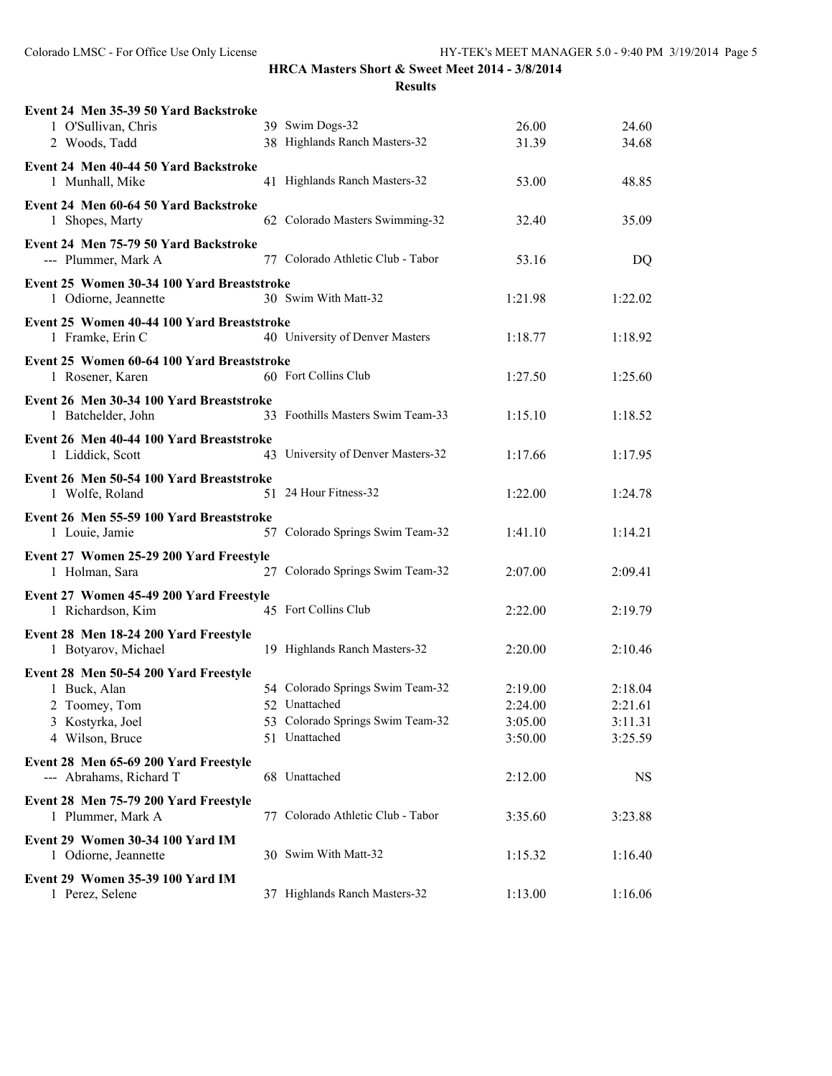| Event 24 Men 35-39 50 Yard Backstroke<br>1 O'Sullivan, Chris                                                  | 39 Swim Dogs-32                                                                                        | 26.00                                    | 24.60                                    |
|---------------------------------------------------------------------------------------------------------------|--------------------------------------------------------------------------------------------------------|------------------------------------------|------------------------------------------|
| 2 Woods, Tadd                                                                                                 | 38 Highlands Ranch Masters-32                                                                          | 31.39                                    | 34.68                                    |
| Event 24 Men 40-44 50 Yard Backstroke<br>1 Munhall, Mike                                                      | 41 Highlands Ranch Masters-32                                                                          | 53.00                                    | 48.85                                    |
| Event 24 Men 60-64 50 Yard Backstroke<br>1 Shopes, Marty                                                      | 62 Colorado Masters Swimming-32                                                                        | 32.40                                    | 35.09                                    |
| Event 24 Men 75-79 50 Yard Backstroke<br>--- Plummer, Mark A                                                  | 77 Colorado Athletic Club - Tabor                                                                      | 53.16                                    | DQ                                       |
| Event 25 Women 30-34 100 Yard Breaststroke<br>1 Odiorne, Jeannette                                            | 30 Swim With Matt-32                                                                                   | 1:21.98                                  | 1:22.02                                  |
| Event 25 Women 40-44 100 Yard Breaststroke<br>1 Framke, Erin C                                                | 40 University of Denver Masters                                                                        | 1:18.77                                  | 1:18.92                                  |
| Event 25 Women 60-64 100 Yard Breaststroke<br>1 Rosener, Karen                                                | 60 Fort Collins Club                                                                                   | 1:27.50                                  | 1:25.60                                  |
| Event 26 Men 30-34 100 Yard Breaststroke<br>1 Batchelder, John                                                | 33 Foothills Masters Swim Team-33                                                                      | 1:15.10                                  | 1:18.52                                  |
| Event 26 Men 40-44 100 Yard Breaststroke<br>1 Liddick, Scott                                                  | 43 University of Denver Masters-32                                                                     | 1:17.66                                  | 1:17.95                                  |
| Event 26 Men 50-54 100 Yard Breaststroke<br>1 Wolfe, Roland                                                   | 51 24 Hour Fitness-32                                                                                  | 1:22.00                                  | 1:24.78                                  |
| Event 26 Men 55-59 100 Yard Breaststroke<br>1 Louie, Jamie                                                    | 57 Colorado Springs Swim Team-32                                                                       | 1:41.10                                  | 1:14.21                                  |
| Event 27 Women 25-29 200 Yard Freestyle<br>1 Holman, Sara                                                     | 27 Colorado Springs Swim Team-32                                                                       | 2:07.00                                  | 2:09.41                                  |
| Event 27 Women 45-49 200 Yard Freestyle<br>1 Richardson, Kim                                                  | 45 Fort Collins Club                                                                                   | 2:22.00                                  | 2:19.79                                  |
| Event 28 Men 18-24 200 Yard Freestyle<br>1 Botyarov, Michael                                                  | 19 Highlands Ranch Masters-32                                                                          | 2:20.00                                  | 2:10.46                                  |
| Event 28 Men 50-54 200 Yard Freestyle<br>1 Buck, Alan<br>2 Toomey, Tom<br>3 Kostyrka, Joel<br>4 Wilson, Bruce | 54 Colorado Springs Swim Team-32<br>52 Unattached<br>53 Colorado Springs Swim Team-32<br>51 Unattached | 2:19.00<br>2:24.00<br>3:05.00<br>3:50.00 | 2:18.04<br>2:21.61<br>3:11.31<br>3:25.59 |
| Event 28 Men 65-69 200 Yard Freestyle<br>--- Abrahams, Richard T                                              | 68 Unattached                                                                                          | 2:12.00                                  | NS                                       |
| Event 28 Men 75-79 200 Yard Freestyle<br>1 Plummer, Mark A                                                    | 77 Colorado Athletic Club - Tabor                                                                      | 3:35.60                                  | 3:23.88                                  |
| Event 29 Women 30-34 100 Yard IM<br>1 Odiorne, Jeannette                                                      | 30 Swim With Matt-32                                                                                   | 1:15.32                                  | 1:16.40                                  |
| Event 29 Women 35-39 100 Yard IM<br>1 Perez, Selene                                                           | 37 Highlands Ranch Masters-32                                                                          | 1:13.00                                  | 1:16.06                                  |